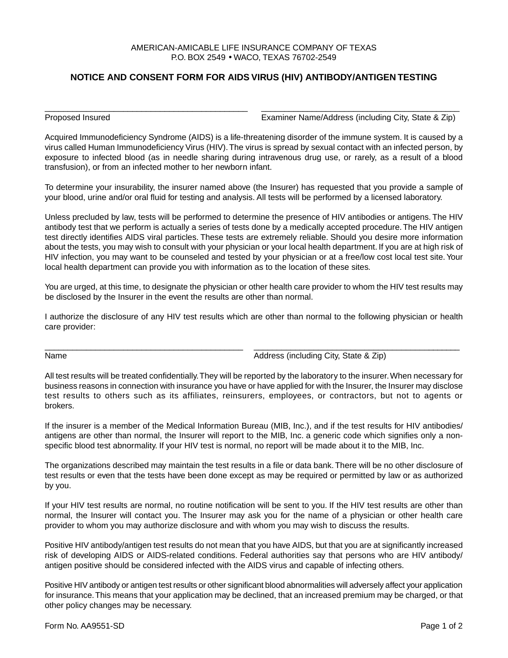## AMERICAN-AMICABLE LIFE INSURANCE COMPANY OF TEXAS P.O. BOX 2549 • WACO, TEXAS 76702-2549

## **NOTICE AND CONSENT FORM FOR AIDS VIRUS (HIV) ANTIBODY/ANTIGEN TESTING**

\_\_\_\_\_\_\_\_\_\_\_\_\_\_\_\_\_\_\_\_\_\_\_\_\_\_\_\_\_\_\_\_\_\_\_\_\_\_\_\_\_\_\_\_ \_\_\_\_\_\_\_\_\_\_\_\_\_\_\_\_\_\_\_\_\_\_\_\_\_\_\_\_\_\_\_\_\_\_\_\_\_\_\_\_\_\_\_

Proposed Insured Examiner Name/Address (including City, State & Zip)

Acquired Immunodeficiency Syndrome (AIDS) is a life-threatening disorder of the immune system. It is caused by a virus called Human Immunodeficiency Virus (HIV). The virus is spread by sexual contact with an infected person, by exposure to infected blood (as in needle sharing during intravenous drug use, or rarely, as a result of a blood transfusion), or from an infected mother to her newborn infant.

To determine your insurability, the insurer named above (the Insurer) has requested that you provide a sample of your blood, urine and/or oral fluid for testing and analysis. All tests will be performed by a licensed laboratory.

Unless precluded by law, tests will be performed to determine the presence of HIV antibodies or antigens. The HIV antibody test that we perform is actually a series of tests done by a medically accepted procedure. The HIV antigen test directly identifies AIDS viral particles. These tests are extremely reliable. Should you desire more information about the tests, you may wish to consult with your physician or your local health department. If you are at high risk of HIV infection, you may want to be counseled and tested by your physician or at a free/low cost local test site. Your local health department can provide you with information as to the location of these sites.

You are urged, at this time, to designate the physician or other health care provider to whom the HIV test results may be disclosed by the Insurer in the event the results are other than normal.

I authorize the disclosure of any HIV test results which are other than normal to the following physician or health care provider:

\_\_\_\_\_\_\_\_\_\_\_\_\_\_\_\_\_\_\_\_\_\_\_\_\_\_\_\_\_\_\_\_\_\_\_\_\_\_\_\_\_\_\_ \_\_\_\_\_\_\_\_\_\_\_\_\_\_\_\_\_\_\_\_\_\_\_\_\_\_\_\_\_\_\_\_\_\_\_\_\_\_\_\_\_\_\_\_\_

Name **Address** (including City, State & Zip)

All test results will be treated confidentially. They will be reported by the laboratory to the insurer. When necessary for business reasons in connection with insurance you have or have applied for with the Insurer, the Insurer may disclose test results to others such as its affiliates, reinsurers, employees, or contractors, but not to agents or brokers.

If the insurer is a member of the Medical Information Bureau (MIB, Inc.), and if the test results for HIV antibodies/ antigens are other than normal, the Insurer will report to the MIB, Inc. a generic code which signifies only a nonspecific blood test abnormality. If your HIV test is normal, no report will be made about it to the MIB, Inc.

The organizations described may maintain the test results in a file or data bank. There will be no other disclosure of test results or even that the tests have been done except as may be required or permitted by law or as authorized by you.

If your HIV test results are normal, no routine notification will be sent to you. If the HIV test results are other than normal, the Insurer will contact you. The Insurer may ask you for the name of a physician or other health care provider to whom you may authorize disclosure and with whom you may wish to discuss the results.

Positive HIV antibody/antigen test results do not mean that you have AIDS, but that you are at significantly increased risk of developing AIDS or AIDS-related conditions. Federal authorities say that persons who are HIV antibody/ antigen positive should be considered infected with the AIDS virus and capable of infecting others.

Positive HIV antibody or antigen test results or other significant blood abnormalities will adversely affect your application for insurance. This means that your application may be declined, that an increased premium may be charged, or that other policy changes may be necessary.